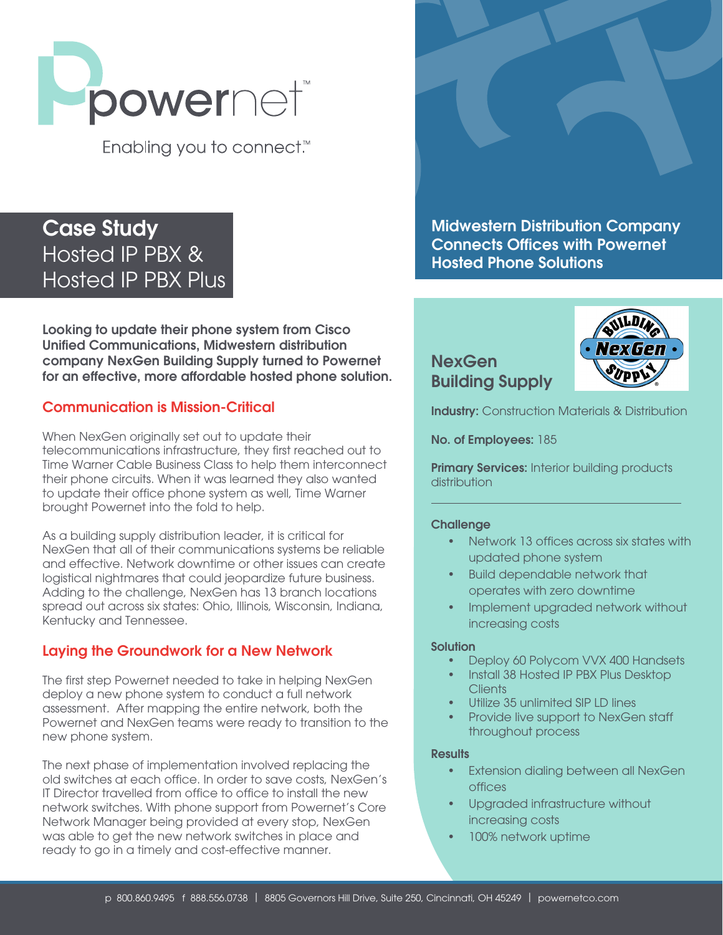

Enabling you to connect.<sup>™</sup>

# Case Study Hosted IP PBX & Hosted IP PBX Plus

Looking to update their phone system from Cisco Unified Communications, Midwestern distribution company NexGen Building Supply turned to Powernet for an effective, more affordable hosted phone solution.

# Communication is Mission-Critical

When NexGen originally set out to update their telecommunications infrastructure, they first reached out to Time Warner Cable Business Class to help them interconnect their phone circuits. When it was learned they also wanted to update their office phone system as well, Time Warner brought Powernet into the fold to help.

As a building supply distribution leader, it is critical for NexGen that all of their communications systems be reliable and effective. Network downtime or other issues can create logistical nightmares that could jeopardize future business. Adding to the challenge, NexGen has 13 branch locations spread out across six states: Ohio, Illinois, Wisconsin, Indiana, Kentucky and Tennessee.

# Laying the Groundwork for a New Network

The first step Powernet needed to take in helping NexGen deploy a new phone system to conduct a full network assessment. After mapping the entire network, both the Powernet and NexGen teams were ready to transition to the new phone system.

The next phase of implementation involved replacing the old switches at each office. In order to save costs, NexGen's IT Director travelled from office to office to install the new network switches. With phone support from Powernet's Core Network Manager being provided at every stop, NexGen was able to get the new network switches in place and ready to go in a timely and cost-effective manner.



**NexGen** Building Supply



**Industry:** Construction Materials & Distribution

No. of Employees: 185

**Primary Services:** Interior building products **distribution** 

#### **Challenge**

- Network 13 offices across six states with updated phone system
- Build dependable network that operates with zero downtime
- Implement upgraded network without increasing costs

#### **Solution**

- Deploy 60 Polycom VVX 400 Handsets
- Install 38 Hosted IP PBX Plus Desktop Clients
- Utilize 35 unlimited SIP LD lines
- Provide live support to NexGen staff throughout process

#### **Results**

- Extension dialing between all NexGen offices
- Upgraded infrastructure without increasing costs
- 100% network uptime